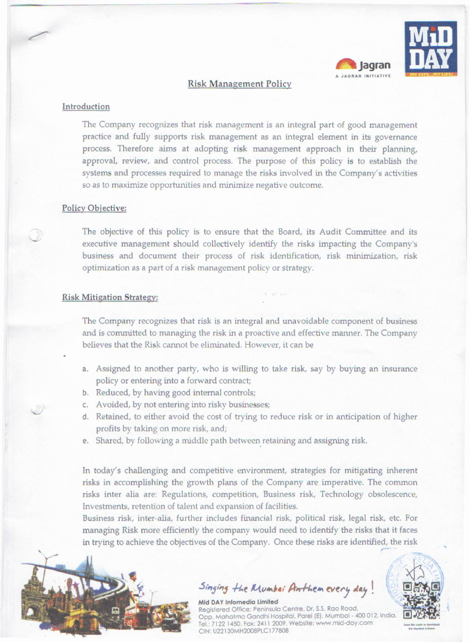

# Risk Management Policy

### Introduction

The Company recognizes that risk management is an integral part of good management practice and fully supports risk management as an integral element in its governance process. Therefore aims at adopting risk management approach in their planning, approval, review, and control process. The purpose of this policy is to establish the systems and processes required to manage the risks involved in the Company's activities so as to maximize opportunities and minimize negative outcome.

### Policy Objective:

The objective of this policy is to ensure that the Board, its Audit Committee and its executive management should collectively identify the risks impacting the Company's business and document their process of risk identification, risk minimization, risk optimization as a part of a risk management policy or strategy.

### Risk Mitigation Strategy:

The Company recognizes that risk is an integral and unavoidable component of business and is committed to managing the risk in a proactive and effective manner. The Company believes that the Risk cannot be eliminated. However, it can be

- a. Assigned to another party, who is willing to take risk, say by buying an insurance policy or entering into a forward contract;
- b. Reduced, by having good internal controls;
- c. Avoided, by not entering into risky businesses;
- d. Retained, to either avoid the cost of trying to reduce risk or in anticipation of higher profits by taking on more risk, and;
- e. Shared, by following a middle path between retaining and assigning risk.

In today's challenging and competitive environment, strategies for mitigating inherent risks in accomplishing the growth plans of the Company are imperative. The common risks inter alia are: Regulations, competition, Business risk, Technology obsolescence, Investments, retention of talent and expansion of facilities.

Business risk, inter-alia, further includes financial risk, political risk, legal risk, etc. For managing Risk more efficiently the company would need to identify the risks that it faces in trying to achieve the objectives of the Company. Once these risks are identified, the risk



*S"lfj,",fj .fI.t I-{v ••.••,·***/}".h.e •..***~tl'j AIj* **!**



**letter of the control \_ •..-..-**  $-$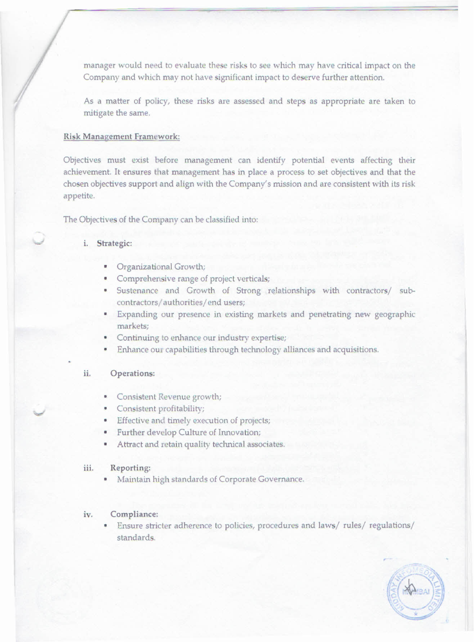manager would need to evaluate these risks to see which may have critical impact on the Company and which may not have significant impact to deserve further attention.

As a matter of policy, these risks are assessed and steps as appropriate are taken to mitigate the same.

# Risk Management framework:

Objectives must exist before management can identify potential events affecting their achievement. It ensures that management has in place a process to set objectives and that the chosen objectives support and align with the Company's mission and are consistent with its risk appetite.

The Objectives of the Company can be classified into:

# i. Strategic:

- **•** Organizational Growth;
- Comprehensive range of project verticals;
- Sustenance and Growth of Strong relationships with contractors/ subcontractors/ authorities/ end users;
- Expanding our presence in existing markets and penetrating new geographic markets;
- Continuing to enhance our industry expertise
- Enhance our capabilities through technology alliances and acquisitions. •

### **ii.** Operations:

- Consistent Revenue growth;
- **•** Consistent profitability
- **•** Effective and timely execution of projects
- **Further develop Culture of Innovation**
- Attract and retain quality technical associates. •

### iii. Reporting:

• Maintain high standards of Corporate Governance.

### iv. Compliance:

• Ensure stricter adherence to policies, procedures and laws/ rules/ regulations/ standards.

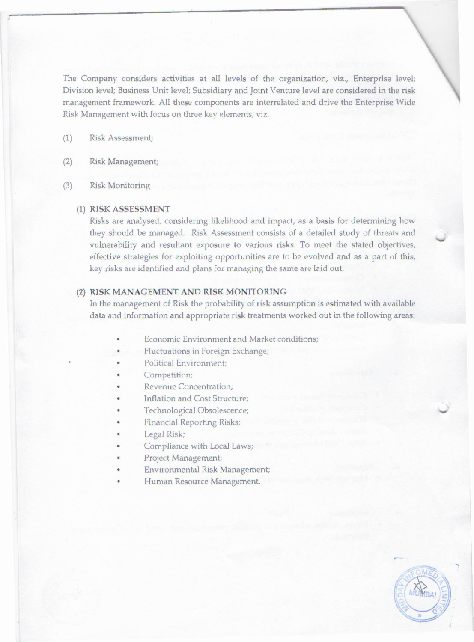The Company considers activities at all levels of the organization, viz., Enterprise level; Division level; Business Unit level; Subsidiary and Joint Venture level are considered in the risk management framework. All these components are interrelated and drive the Enterprise Wide Risk Management with focus on three key elements, viz.

(1) Risk Assessment;

# (2) Risk Management;

(3) Risk Monitoring

# (1) RISK ASSESSMENT

Risks are analysed, considering likelihood and impact, as a basis for determining how they should be managed. Risk Assessment consists of a detailed study of threats and vulnerability and resultant exposure to various risks. To meet the stated objectives, effective strategies for exploiting opportunities are to be evolved and as a part of this, key risks are identified and plans for managing the same are laid out.

### (2) RISK MANAGEMENT AND RISK MONITORING

In the management of Risk the probability of risk assumption is estimated with available data and information and appropriate risk treatments worked out in the following areas:

- Economic Environment and Market conditions;
- Fluctuations in Foreign Exchange;
- Political Environment;
- Competition;
- Revenue Concentration;
- Inflation and Cost Structure;
- Technological Obsolescence;
- Financial Reporting Risks;
- Legal Risk;
- Compliance with Local Laws;
- Project Management;
- Environmental Risk Management;
- Human Resource Management.

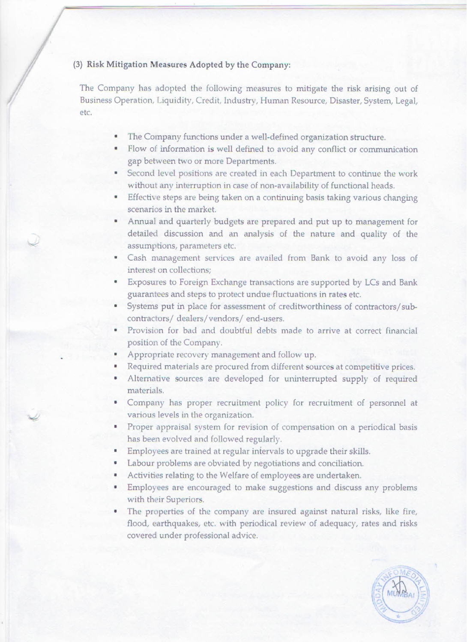# (3) Risk Mitigation Measures Adopted by the Company:

The Company has adopted the following measures to mitigate the risk arising out of Business Operation, Liquidity, Credit, Industry, Human Resource, Disaster, System, Legal, etc.

- The Company functions under a well-defined organization structure
- **Flow of information is well defined to avoid any conflict or communication** gap between two or more Departments.
- Second level positions are created in each Department to continue the work without any interruption in case of non-availability of functional heads.
- **Effective steps are being taken on a continuing basis taking various changing** scenarios in the market.
- Annual and quarterly budgets arc prepared and put up to management for detailed discussion and an analysis of the nature and quality of the assumptions, parameters etc. o
- Cash management services are availed from Bank to avoid any loss of interest on collections;
- Exposures to Foreign Exchange transactions are supported by LCs and Bank guarantees and steps to protect undue fluctuations in rates etc. o
- Systems put in place for assessment of creditworthiness of contractors/subcontractors/ dealers/vendors/ end-users. o
- Provision for bad and doubtful debts made to arrive at correct financial position of the Company.
- Appropriate recovery management and follow up.

 $\omega$ ~

- Required materials are procured from different sources at competitive prices.
- Alternative sources are developed for uninterrupted supply of required materials.
- Company has proper recruitment policy for recruitment of personnel at various levels in the organization.
- 0 Proper appraisal system for revision of compensation on a periodical basis has been evolved and followed regularly.
- 0 Employees are trained at regular intervals to upgrade their skills.
- 0 Labour problems are obviated by negotiations and conciliation.
- 0 Activities relating to the Welfare of employees are undertaken.
- 0 Employees are encouraged to make suggestions and discuss any problems with their Superiors.
- 0 The properties of the company are insured against natural risks, like fire, flood, earthquakes, etc. with periodical review of adequacy, rates and risks covered under professional advice.